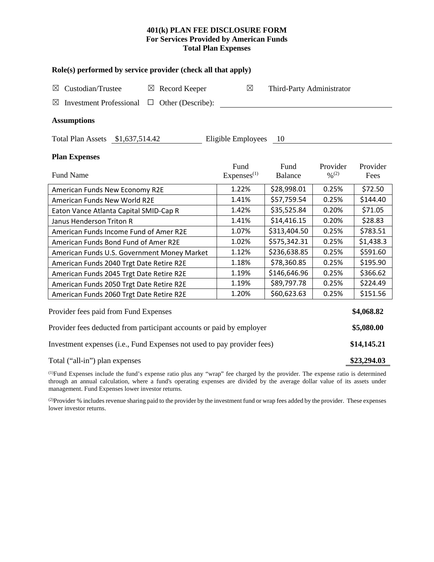# **401(k) PLAN FEE DISCLOSURE FORM For Services Provided by American Funds Total Plan Expenses**

| Role(s) performed by service provider (check all that apply)            |                        |                           |                              |           |  |  |  |  |  |
|-------------------------------------------------------------------------|------------------------|---------------------------|------------------------------|-----------|--|--|--|--|--|
| Custodian/Trustee<br>$\boxtimes$ Record Keeper<br>⊠                     | $\boxtimes$            | Third-Party Administrator |                              |           |  |  |  |  |  |
| ⊠<br><b>Investment Professional</b><br>Other (Describe):<br>$\Box$      |                        |                           |                              |           |  |  |  |  |  |
| <b>Assumptions</b>                                                      |                        |                           |                              |           |  |  |  |  |  |
| Total Plan Assets \$1,637,514.42                                        | Eligible Employees     | - 10                      |                              |           |  |  |  |  |  |
| <b>Plan Expenses</b>                                                    |                        |                           |                              |           |  |  |  |  |  |
|                                                                         | Fund                   | Fund                      | Provider                     | Provider  |  |  |  |  |  |
| <b>Fund Name</b>                                                        | Express <sup>(1)</sup> | Balance                   | $\frac{0}{2}$ <sup>(2)</sup> | Fees      |  |  |  |  |  |
| American Funds New Economy R2E                                          | 1.22%                  | \$28,998.01               | 0.25%                        | \$72.50   |  |  |  |  |  |
| American Funds New World R2E                                            | 1.41%                  | \$57,759.54               | 0.25%                        | \$144.40  |  |  |  |  |  |
| Eaton Vance Atlanta Capital SMID-Cap R                                  | 1.42%                  | \$35,525.84               | 0.20%                        | \$71.05   |  |  |  |  |  |
| Janus Henderson Triton R                                                | 1.41%                  | \$14,416.15               | 0.20%                        | \$28.83   |  |  |  |  |  |
| American Funds Income Fund of Amer R2E                                  | 1.07%                  | \$313,404.50              | 0.25%                        | \$783.51  |  |  |  |  |  |
| American Funds Bond Fund of Amer R2E                                    | 1.02%                  | \$575,342.31              | 0.25%                        | \$1,438.3 |  |  |  |  |  |
| American Funds U.S. Government Money Market                             | 1.12%                  | \$236,638.85              | 0.25%                        | \$591.60  |  |  |  |  |  |
| American Funds 2040 Trgt Date Retire R2E                                | 1.18%                  | \$78,360.85               | 0.25%                        | \$195.90  |  |  |  |  |  |
| American Funds 2045 Trgt Date Retire R2E                                | 1.19%                  | \$146,646.96              | 0.25%                        | \$366.62  |  |  |  |  |  |
| American Funds 2050 Trgt Date Retire R2E                                | 1.19%                  | \$89,797.78               | 0.25%                        | \$224.49  |  |  |  |  |  |
| American Funds 2060 Trgt Date Retire R2E                                | 1.20%                  | \$60,623.63               | 0.25%                        | \$151.56  |  |  |  |  |  |
| Provider fees paid from Fund Expenses                                   |                        |                           |                              |           |  |  |  |  |  |
| Provider fees deducted from participant accounts or paid by employer    |                        |                           |                              |           |  |  |  |  |  |
| Investment expenses (i.e., Fund Expenses not used to pay provider fees) |                        |                           |                              |           |  |  |  |  |  |
| Total ("all-in") plan expenses                                          |                        |                           |                              |           |  |  |  |  |  |

(1) Fund Expenses include the fund's expense ratio plus any "wrap" fee charged by the provider. The expense ratio is determined through an annual calculation, where a fund's operating expenses are divided by the average dollar value of its assets under management. Fund Expenses lower investor returns.

(2) Provider % includes revenue sharing paid to the provider by the investment fund or wrap fees added by the provider. These expenses lower investor returns.